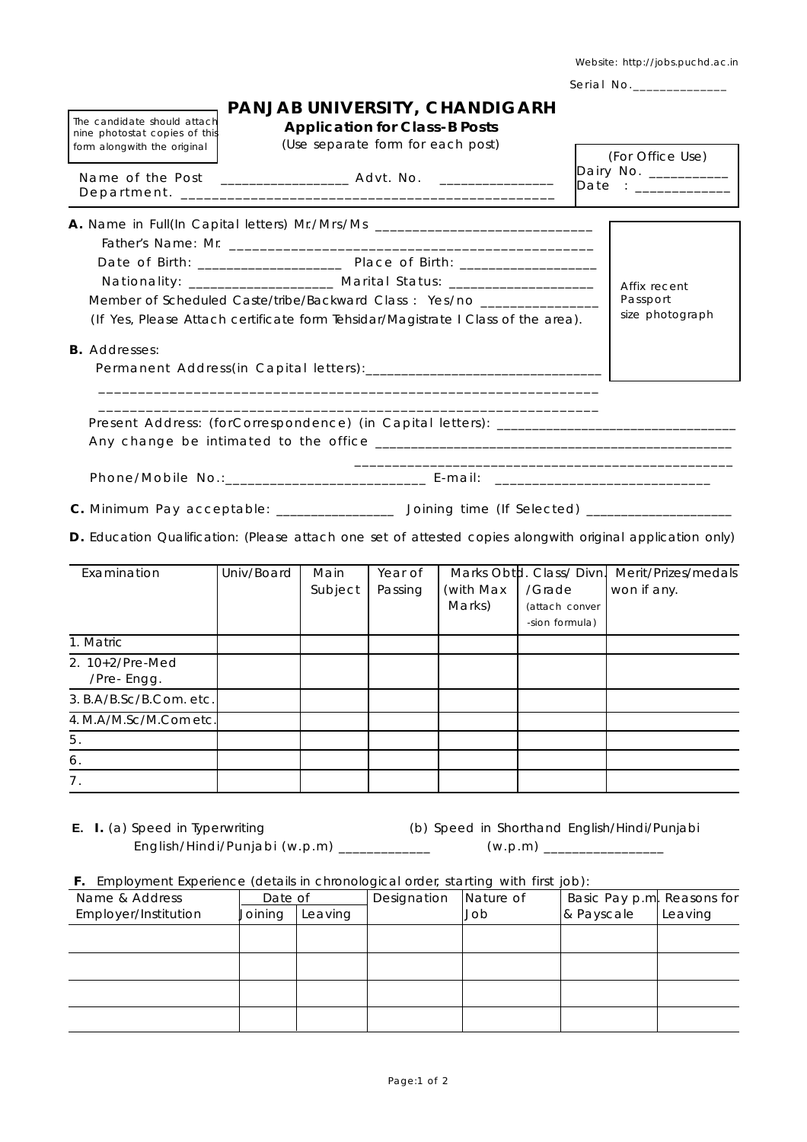Website: http://jobs.puchd.ac.in

Serial No.\_\_\_\_\_\_\_\_\_\_\_\_\_\_

| The candidate should attach<br>nine photostat copies of this                                               |                                                                                       |                                                                                                       | <b>Application for Class-B Posts</b> | PANJAB UNIVERSITY, CHANDIGARH                  |                                            |                                           |                                    |  |  |
|------------------------------------------------------------------------------------------------------------|---------------------------------------------------------------------------------------|-------------------------------------------------------------------------------------------------------|--------------------------------------|------------------------------------------------|--------------------------------------------|-------------------------------------------|------------------------------------|--|--|
| form alongwith the original                                                                                |                                                                                       | (Use separate form for each post)<br>Name of the Post ____________________ Advt. No. ________________ |                                      |                                                |                                            | (For Office Use)<br>Dairy No. ___________ |                                    |  |  |
|                                                                                                            |                                                                                       |                                                                                                       |                                      |                                                |                                            | Date : _____________                      |                                    |  |  |
| A. Name in Full(In Capital letters) Mr./Mrs/Ms _________________________________                           |                                                                                       |                                                                                                       |                                      |                                                |                                            |                                           |                                    |  |  |
|                                                                                                            |                                                                                       | Date of Birth: _____________________ Place of Birth: ____________________                             |                                      |                                                |                                            |                                           |                                    |  |  |
|                                                                                                            | Nationality: ___________________ Marital Status: ____________________<br>Affix recent |                                                                                                       |                                      |                                                |                                            |                                           |                                    |  |  |
| Member of Scheduled Caste/tribe/Backward Class: Yes/no _______________                                     |                                                                                       |                                                                                                       |                                      |                                                |                                            |                                           | Passport                           |  |  |
| (If Yes, Please Attach certificate form Tehsidar/Magistrate I Class of the area).                          |                                                                                       |                                                                                                       |                                      |                                                |                                            |                                           | size photograph                    |  |  |
| <b>B.</b> Addresses:                                                                                       |                                                                                       |                                                                                                       |                                      |                                                |                                            |                                           |                                    |  |  |
| Phone/Mobile No.:___________________________ E-mail: ___________________________                           |                                                                                       |                                                                                                       |                                      |                                                |                                            |                                           |                                    |  |  |
| C. Minimum Pay acceptable: ________________ Joining time (If Selected) ____________________                |                                                                                       |                                                                                                       |                                      |                                                |                                            |                                           |                                    |  |  |
| D. Education Qualification: (Please attach one set of attested copies alongwith original application only) |                                                                                       |                                                                                                       |                                      |                                                |                                            |                                           |                                    |  |  |
| Examination                                                                                                | Univ/Board                                                                            | Main<br>Subject                                                                                       | Year of<br>Passing                   | Marks Obtd. Class/Divn.<br>(with Max<br>Marks) | /Grade<br>(attach conver<br>-sion formula) |                                           | Merit/Prizes/medals<br>won if any. |  |  |
| 1. Matric                                                                                                  |                                                                                       |                                                                                                       |                                      |                                                |                                            |                                           |                                    |  |  |
| 2. 10+2/Pre-Med                                                                                            |                                                                                       |                                                                                                       |                                      |                                                |                                            |                                           |                                    |  |  |
| /Pre-Engg.                                                                                                 |                                                                                       |                                                                                                       |                                      |                                                |                                            |                                           |                                    |  |  |
| 3. B.A/B.Sc/B.Com. etc.                                                                                    |                                                                                       |                                                                                                       |                                      |                                                |                                            |                                           |                                    |  |  |
| 4. M.A/M.Sc/M.Com etc.                                                                                     |                                                                                       |                                                                                                       |                                      |                                                |                                            |                                           |                                    |  |  |
| 5.                                                                                                         |                                                                                       |                                                                                                       |                                      |                                                |                                            |                                           |                                    |  |  |
| 6.                                                                                                         |                                                                                       |                                                                                                       |                                      |                                                |                                            |                                           |                                    |  |  |
| 7.                                                                                                         |                                                                                       |                                                                                                       |                                      |                                                |                                            |                                           |                                    |  |  |

**E.** I. (a) Speed in Typerwriting (b) Speed in Shorthand English/Hindi/Punjabi English/Hindi/Punjabi (w.p.m) \_\_\_\_\_\_\_\_\_\_\_\_\_ (w.p.m) \_\_\_\_\_\_\_\_\_\_\_\_\_\_\_\_\_

|  |  |  |  | F. Employment Experience (details in chronological order, starting with first job): |  |  |  |  |  |  |
|--|--|--|--|-------------------------------------------------------------------------------------|--|--|--|--|--|--|
|--|--|--|--|-------------------------------------------------------------------------------------|--|--|--|--|--|--|

| $\overline{\phantom{a}}$ |         |         |             |           |                            |         |  |
|--------------------------|---------|---------|-------------|-----------|----------------------------|---------|--|
| Name & Address           | Date of |         | Designation | Nature of | Basic Pay p.m. Reasons for |         |  |
| Employer/Institution     | Joining | Leaving |             | dol       | & Payscale                 | Leaving |  |
|                          |         |         |             |           |                            |         |  |
|                          |         |         |             |           |                            |         |  |
|                          |         |         |             |           |                            |         |  |
|                          |         |         |             |           |                            |         |  |
|                          |         |         |             |           |                            |         |  |
|                          |         |         |             |           |                            |         |  |
|                          |         |         |             |           |                            |         |  |
|                          |         |         |             |           |                            |         |  |